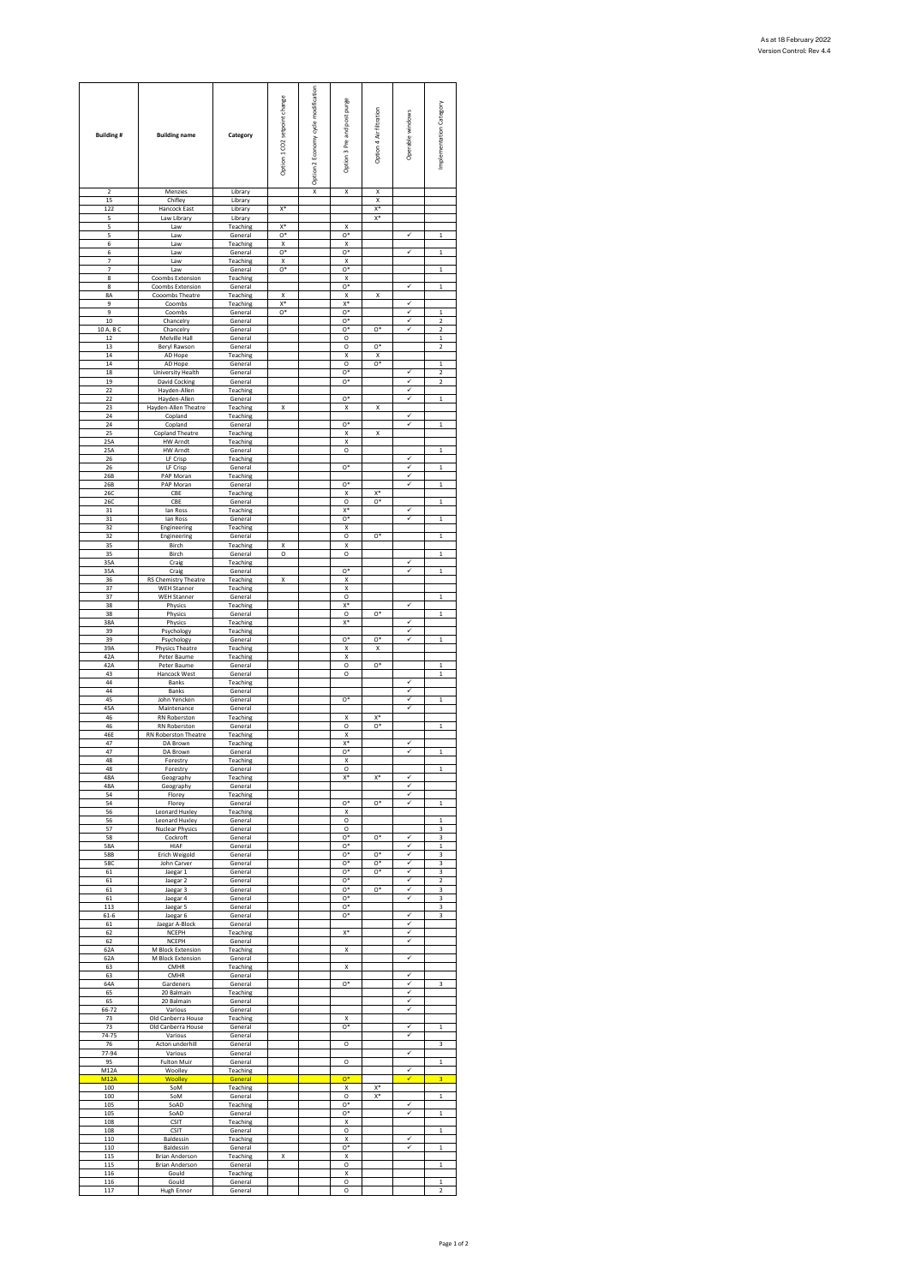| <b>Building#</b> | <b>Building name</b>                           | Category             | Option 1 CO2 setpoint change | Option 2 Economy cycle modification | Option 3 Pre and post purge | Option 4 Air filtration | Operable windows | Implementation Category                 |
|------------------|------------------------------------------------|----------------------|------------------------------|-------------------------------------|-----------------------------|-------------------------|------------------|-----------------------------------------|
| $\overline{2}$   | Menzies                                        | Library              |                              | X                                   | X                           | X                       |                  |                                         |
| 15<br>122        | Chifley<br><b>Hancock East</b>                 | Library<br>Library   | x*                           |                                     |                             | X<br>$X^*$              |                  |                                         |
| 5                | Law Library                                    | Library              |                              |                                     |                             | X*                      |                  |                                         |
| 5                | Law                                            | Teaching             | x*                           |                                     | X                           |                         |                  | $\mathbf{1}$                            |
| 5<br>6           | Law<br>Law                                     | General<br>Teaching  | $0*$<br>X                    |                                     | $O*$<br>X                   |                         |                  |                                         |
| 6                | Law                                            | General              | o,                           |                                     | o*                          |                         | ✓                | $\mathbf{1}$                            |
| 7<br>7           | Law<br>Law                                     | Teaching<br>General  | x<br>$0*$                    |                                     | X<br>$0*$                   |                         |                  | $\mathbf{1}$                            |
| 8                | Coombs Extension                               | Teaching             |                              |                                     | X                           |                         |                  |                                         |
| 8<br>8A          | Coombs Extension<br>Cooombs Theatre            | General<br>Teaching  | X                            |                                     | o*<br>Χ                     | X                       | ✓                | $\mathbf 1$                             |
| 9                | Coombs                                         | Teaching             | $X^*$                        |                                     | $X^*$                       |                         | ✓<br>ر           |                                         |
| 9<br>10          | Coombs<br>Chancelry                            | General<br>General   | o*                           |                                     | o*<br>o*                    |                         | ⊽                | $\mathbf{1}$<br>$\overline{\mathbf{c}}$ |
| 10 A, B C        | Chancelry                                      | General              |                              |                                     | O*                          | o*                      | ✓                | $\overline{2}$                          |
| 12<br>13         | Melville Hall<br>Beryl Rawson                  | General<br>General   |                              |                                     | $\circ$<br>O                | $^{\circ}$              |                  | $\mathbf{1}$<br>2                       |
| 14<br>14         | AD Hope                                        | Teaching             |                              |                                     | X                           | X                       |                  |                                         |
| 18               | AD Hope<br>University Health                   | General<br>General   |                              |                                     | O<br>$^{\circ}$             | $O*$                    | ✓                | 1<br>$\overline{2}$                     |
| 19               | <b>David Cocking</b>                           | General              |                              |                                     | $^{\circ}$                  |                         | ✓                | $\overline{2}$                          |
| 22<br>22         | Hayden-Allen<br>Hayden-Allen                   | Teaching<br>General  |                              |                                     | o*                          |                         | ✓                | $\mathbf{1}$                            |
| 23               | Hayden-Allen Theatre                           | Teaching             | X                            |                                     | X                           | X                       |                  |                                         |
| 24<br>24         | Copland<br>Copland                             | Teaching<br>General  |                              |                                     | $^{\circ}$                  |                         | ✓<br>✓           | $\mathbf 1$                             |
| 25               | <b>Copland Theatre</b>                         | Teaching             |                              |                                     | X                           | X                       |                  |                                         |
| 25 A<br>25A      | <b>HW Arndt</b><br><b>HW Arndt</b>             | Teaching<br>General  |                              |                                     | X<br>O                      |                         |                  | $\mathbf{1}$                            |
| 26               | LF Crisp                                       | Teaching             |                              |                                     |                             |                         | ✓                |                                         |
| 26<br>26B        | LF Crisp<br>PAP Moran                          | General<br>Teaching  |                              |                                     | o*                          |                         | ✓                | $\mathbf 1$                             |
| 26B              | PAP Moran                                      | General              |                              |                                     | $^{\circ}$                  |                         | ✓                | $\mathbf{1}$                            |
| 26C<br>260       | CBE<br>CBE                                     | Teaching<br>General  |                              |                                     | X<br>O                      | $X^*$<br>o*             |                  | $\mathbf 1$                             |
| 31               | lan Ross                                       | Teaching             |                              |                                     | $X^*$                       |                         | ✓                |                                         |
| 31<br>32         | lan Ross<br>Engineering                        | General<br>Teaching  |                              |                                     | $^{\circ}$<br>X             |                         |                  | $\mathbf{1}$                            |
| 32               | Engineering                                    | General              |                              |                                     | O                           | o,                      |                  | $\mathbf{1}$                            |
| 35<br>35         | Birch<br>Birch                                 | Teaching<br>General  | x<br>O                       |                                     | X<br>$\circ$                |                         |                  | $\mathbf{1}$                            |
| 35A              | Craig                                          | Teaching             |                              |                                     |                             |                         | ✓                |                                         |
| 35A<br>36        | Craig<br><b>RS Chemistry Theatre</b>           | General<br>Teaching  | x                            |                                     | o*<br>X                     |                         | ✓                | $\mathbf{1}$                            |
| 37               | <b>WEH Stanner</b>                             | Teaching             |                              |                                     | X                           |                         |                  |                                         |
| 37<br>38         | WEH Stanner<br>Physics                         | General<br>Teaching  |                              |                                     | $\circ$<br>X <sup>4</sup>   |                         |                  | $\mathbf{1}$                            |
| 38               | Physics                                        | General              |                              |                                     | O                           | o*                      | ✓                | $\mathbf 1$                             |
| 38A<br>39        | Physics<br>Psychology                          | Teaching<br>Teaching |                              |                                     | $X^*$                       |                         | ✓                |                                         |
| 39               | Psychology                                     | General              |                              |                                     | o*                          | o*                      | ✓                | $\mathbf 1$                             |
| 39A<br>42A       | <b>Physics Theatre</b><br>Peter Baume          | Teaching<br>Teaching |                              |                                     | X<br>X                      | X                       |                  |                                         |
| 42A              | Peter Baume                                    | General              |                              |                                     | $\circ$                     | $0*$                    |                  | $\mathbf{1}$                            |
| 43<br>44         | Hancock West<br>Banks                          | General<br>Teaching  |                              |                                     | O                           |                         | v                | $\mathbf{1}$                            |
| 44               | Banks                                          | General              |                              |                                     |                             |                         | ✓<br>✓           |                                         |
| 45<br>45A        | John Yencken<br>Maintenance                    | General<br>General   |                              |                                     | $^{\circ}$                  |                         | ✓                | $\mathbf{1}$                            |
| 46<br>46         | RN Roberston                                   | Teaching             |                              |                                     | X<br>$\circ$                | $X^*$<br>$O*$           |                  |                                         |
| 46E              | RN Roberston<br><b>RN Roberston Theatre</b>    | General<br>Teaching  |                              |                                     | X                           |                         |                  | 1                                       |
| 47<br>47         | DA Brown<br>DA Brown                           | Teaching<br>General  |                              |                                     | x*<br>o*                    |                         | ✓<br>⊽           | $\mathbf{1}$                            |
| 48               | Forestry                                       | Teaching             |                              |                                     | X                           |                         |                  |                                         |
| 48<br>48A        | Forestry                                       | General<br>Teaching  |                              |                                     | C<br>$X^*$                  | $\mathsf{X}^*$          | ✓                |                                         |
| 48A              | Geography<br>Geography                         | General              |                              |                                     |                             |                         | ✓                |                                         |
| 54               | Florey                                         | Teaching             |                              |                                     | $\mathbf{O}^*$              | $O*$                    | ✓<br>✓           |                                         |
| 54<br>56         | Florey<br>Leonard Huxley                       | General<br>Teaching  |                              |                                     | X                           |                         |                  | $\mathbf{1}$                            |
| 56<br>57         | Leonard Huxley<br><b>Nuclear Physics</b>       | General<br>General   |                              |                                     | $\circ$<br>O                |                         |                  | $\mathbf{1}$<br>3                       |
| 58               | Cockroft                                       | General              |                              |                                     | o*                          | $^{\circ}$              | ✓                | 3                                       |
| 58A<br>58B       | HIAF<br>Erich Weigold                          | General<br>General   |                              |                                     | 0*<br>$O*$                  | $^{\circ}$              | ✓<br>✓           | 1<br>3                                  |
| <b>58C</b>       | John Carver                                    | General              |                              |                                     | $0*$                        | $0*$                    | ✓                | 3                                       |
| 61<br>61         | Jaegar 1<br>Jaegar 2                           | General<br>General   |                              |                                     | $O*$<br>$0*$                | $0*$                    | ✓<br>✓           | $\overline{3}$<br>$\overline{2}$        |
| 61               | Jaegar 3                                       | General              |                              |                                     | $\circ$ <sup>*</sup>        | $^{\circ}$              | ✓                | 3                                       |
| 61<br>113        | Jaegar 4<br>Jaegar 5                           | General<br>General   |                              |                                     | o*<br>$O*$                  |                         | ⊽                | 3<br>$\overline{3}$                     |
| $61 - 6$         | Jaegar 6                                       | General              |                              |                                     | $0*$                        |                         | ✓                | $\overline{3}$                          |
| 61<br>62         | Jaegar A-Block<br>NCEPH                        | General<br>Teaching  |                              |                                     | $X^*$                       |                         | ✓<br>✓           |                                         |
| 62               | NCEPH                                          | General              |                              |                                     |                             |                         | ✓                |                                         |
| 62A<br>62A       | <b>M Block Extension</b><br>M Block Extension  | Teaching<br>General  |                              |                                     | X                           |                         | ✓                |                                         |
| 63               | CMHR                                           | Teaching             |                              |                                     | X                           |                         | ✓                |                                         |
| 63<br>64A        | <b>CMHR</b><br>Gardeners                       | General<br>General   |                              |                                     | $\overline{\mathsf{o}}^*$   |                         | V                | 3                                       |
| 65               | 20 Balmain                                     | Teaching             |                              |                                     |                             |                         | ✓                |                                         |
| 65<br>$66 - 72$  | 20 Balmain<br>Various                          | General<br>General   |                              |                                     |                             |                         | ✓<br>✓           |                                         |
| 73               | Old Canberra House                             | Teaching             |                              |                                     | X                           |                         | ✓                |                                         |
| 73<br>74-75      | Old Canberra House<br>Various                  | General<br>General   |                              |                                     | $0*$                        |                         | ✓                | $\mathbf{1}$                            |
| 76               | Acton underhill                                | General              |                              |                                     | O                           |                         |                  | 3                                       |
| 77-94<br>95      | Various<br>Fulton Muir                         | General<br>General   |                              |                                     | $\circ$                     |                         | ✓                | $\mathbf{1}$                            |
| M12A             | Woolley                                        | Teaching             |                              |                                     |                             |                         | ✓                |                                         |
| M12A<br>100      | Woolley<br>SoM                                 | General<br>Teaching  |                              |                                     | $\mathbf{O}^*$<br>х         | X*                      | ✓                | 3                                       |
| 100              | SoM                                            | General              |                              |                                     | $\circ$                     | $X^*$                   | ✓                | $\mathbf 1$                             |
| 105<br>105       | SoAD<br>SoAD                                   | Teaching<br>General  |                              |                                     | o*<br>o*                    |                         | ⊽                | $\mathbf 1$                             |
| 108<br>108       | <b>CSIT</b><br><b>CSIT</b>                     | Teaching             |                              |                                     | X<br>$\circ$                |                         |                  | $\mathbf{1}$                            |
| 110              | Baldessin                                      | General<br>Teaching  |                              |                                     | X                           |                         | ✓                |                                         |
| 110              | Baldessin                                      | General              |                              |                                     | o*                          |                         | ✓                | $\mathbf 1$                             |
| 115<br>115       | <b>Brian Anderson</b><br><b>Brian Anderson</b> | Teaching<br>General  | x                            |                                     | X<br>$\circ$                |                         |                  | $\mathbf 1$                             |
| 116              | Gould                                          | Teaching             |                              |                                     | X                           |                         |                  |                                         |
| 116<br>117       | Gould<br><b>Hugh Ennor</b>                     | General<br>General   |                              |                                     | O<br>O                      |                         |                  | $\mathbf 1$<br>$\overline{\mathbf{c}}$  |
|                  |                                                |                      |                              |                                     |                             |                         |                  |                                         |